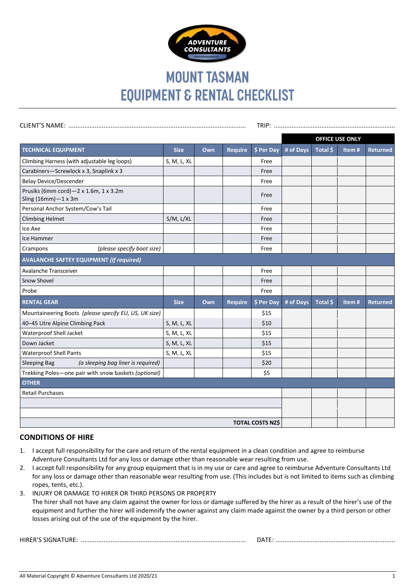

## **MOUNT TASMAN EQUIPMENT & RENTAL CHECKLIST**

|                                                                       |             |     |                |            |           | <b>OFFICE USE ONLY</b> |       |                 |
|-----------------------------------------------------------------------|-------------|-----|----------------|------------|-----------|------------------------|-------|-----------------|
| <b>TECHNICAL EQUIPMENT</b>                                            | <b>Size</b> | Own | <b>Require</b> | \$ Per Day | # of Days | Total \$               | Item# | <b>Returned</b> |
| Climbing Harness (with adjustable leg loops)                          | S, M, L, XL |     |                | Free       |           |                        |       |                 |
| Carabiners-Screwlock x 3, Snaplink x 3                                |             |     |                | Free       |           |                        |       |                 |
| <b>Belay Device/Descender</b>                                         |             |     |                | Free       |           |                        |       |                 |
| Prusiks (6mm cord)-2 x 1.6m, 1 x 3.2m<br>Sling $(16mm) - 1 \times 3m$ |             |     |                | Free       |           |                        |       |                 |
| Personal Anchor System/Cow's Tail                                     |             |     |                | Free       |           |                        |       |                 |
| <b>Climbing Helmet</b>                                                | S/M, L/XL   |     |                | Free       |           |                        |       |                 |
| Ice Axe                                                               |             |     |                | Free       |           |                        |       |                 |
| Ice Hammer                                                            |             |     |                | Free       |           |                        |       |                 |
| (please specify boot size)<br>Crampons                                |             |     |                | Free       |           |                        |       |                 |
| <b>AVALANCHE SAFTEY EQUIPMENT (If required)</b>                       |             |     |                |            |           |                        |       |                 |
| Avalanche Transceiver                                                 |             |     |                | Free       |           |                        |       |                 |
| Snow Shovel                                                           |             |     |                | Free       |           |                        |       |                 |
| Probe                                                                 |             |     |                | Free       |           |                        |       |                 |
| <b>RENTAL GEAR</b>                                                    | <b>Size</b> | Own | <b>Require</b> | \$ Per Day | # of Days | Total \$               | Item# | <b>Returned</b> |
| Mountaineering Boots (please specify EU, US, UK size)                 |             |     |                | \$15       |           |                        |       |                 |
| 40-45 Litre Alpine Climbing Pack                                      | S, M, L, XL |     |                | \$10       |           |                        |       |                 |
| Waterproof Shell Jacket                                               | S, M, L, XL |     |                | \$15       |           |                        |       |                 |
| Down Jacket                                                           | S, M, L, XL |     |                | \$15       |           |                        |       |                 |
| <b>Waterproof Shell Pants</b>                                         | S, M, L, XL |     |                | \$15       |           |                        |       |                 |
| (a sleeping bag liner is required)<br>Sleeping Bag                    |             |     |                | \$20       |           |                        |       |                 |
| Trekking Poles-one pair with snow baskets (optional)                  |             |     |                | \$5        |           |                        |       |                 |
| <b>OTHER</b>                                                          |             |     |                |            |           |                        |       |                 |
| <b>Retail Purchases</b>                                               |             |     |                |            |           |                        |       |                 |
|                                                                       |             |     |                |            |           |                        |       |                 |
|                                                                       |             |     |                |            |           |                        |       |                 |
| <b>TOTAL COSTS NZ\$</b>                                               |             |     |                |            |           |                        |       |                 |

## **CONDITIONS OF HIRE**

- 1. I accept full responsibility for the care and return of the rental equipment in a clean condition and agree to reimburse Adventure Consultants Ltd for any loss or damage other than reasonable wear resulting from use.
- 2. I accept full responsibility for any group equipment that is in my use or care and agree to reimburse Adventure Consultants Ltd for any loss or damage other than reasonable wear resulting from use. (This includes but is not limited to items such as climbing ropes, tents, etc.).
- 3. INJURY OR DAMAGE TO HIRER OR THIRD PERSONS OR PROPERTY The hirer shall not have any claim against the owner for loss or damage suffered by the hirer as a result of the hirer's use of the equipment and further the hirer will indemnify the owner against any claim made against the owner by a third person or other losses arising out of the use of the equipment by the hirer.

HIRER'S SIGNATURE: .............................................................................................. DATE: ....................................................................